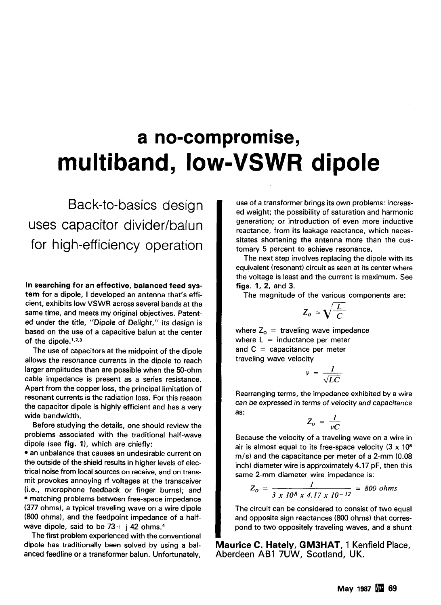# **a no-compromise, multiband, low-VSWR dipole**

Back-to-basics design uses capacitor divider/balun for high-efficiency operation

In searching for an effective, balanced feed system for a dipole, I developed an antenna that's efficient, exhibits low VSWR across several bands at the same time, and meets my original objectives. Patented under the title, "Dipole of Delight," its design is based on the use of a capacitive balun at the center of the dipole. $1,2,3$ 

The use of capacitors at the midpoint of the dipole allows the resonance currents in the dipole to reach larger amplitudes than are possible when the 50-ohm cable impedance is present as a series resistance. Apart from the copper loss, the principal limitation of resonant currents is the radiation loss. For this reason the capacitor dipole is highly efficient and has a very wide bandwidth.

Before studying the details, one should review the problems associated with the traditional half-wave dipole (see fig. **I),** which are chiefly:

an unbalance that causes an undesirable current on the outside of the shield results in higher levels of electrical noise from local sources on receive, and on transmit provokes annoying **rf** voltages at the transceiver (i.e., microphone feedback or finger burns); and matching problems between free-space impedance (377 ohms), a typical traveling wave on a wire dipole **(800** ohms), and the feedpoint impedance of a halfwave dipole, said to be  $73 + i 42$  ohms.<sup>4</sup>

The first problem experienced with the conventional dipole has traditionally been solved by using a balanced feedline or a transformer balun. Unfortunately,

use of a transformer brings its own problems: increased weight; the possibility of saturation and harmonic generation; or introduction of even more inductive reactance, from its leakage reactance, which necessitates shortening the antenna more than the customary 5 percent to achieve resonance.

The next step involves replacing the dipole with its equivalent (resonant) circuit as seen at its center where the voltage is least and the current is maximum. See figs. 1, 2, and 3.

The magnitude of the various components are:

$$
Z_o = \sqrt{\frac{L}{C}}
$$

where  $Z_0$  = traveling wave impedance where  $L =$  inductance per meter and  $C =$  capacitance per meter traveling wave velocity

$$
v = \frac{1}{\sqrt{LC}}
$$

Rearranging terms, the impedance exhibited by a wire can be expressed in terms of velocity and capacitance as:

$$
Z_o = \frac{I}{vC}
$$

Because the velocity of a traveling wave on a wire in air is almost equal to its free-space velocity  $(3 \times 10^8)$  $m/s$ ) and the capacitance per meter of a 2-mm (0.08 inch) diameter wire is approximately 4.17 pF, then this same 2-mm diameter wire impedance is:

$$
Z_o = \frac{1}{3 \times 10^8 \times 4.17 \times 10^{-12}} = 800 \text{ ohms}
$$

The circuit can be considered to consist of two equal and opposite sign reactances (800 ohms) that correspond to two oppositely traveling waves, and a shunt

**Maurice C. Hately, GM3HAT, 1** Kenfield Place, Aberdeen **ABI** 7UW, Scotland, UK.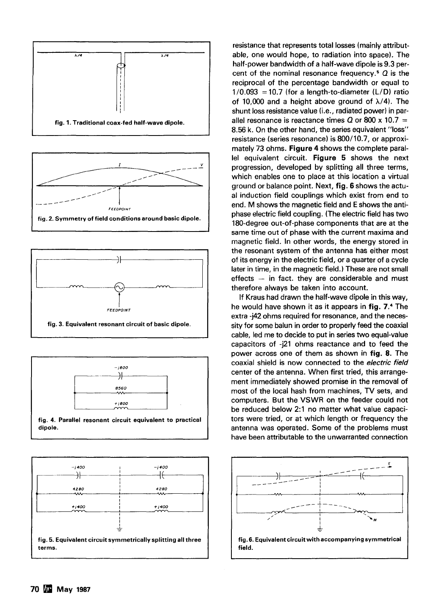







**dipole. fig. 4. Parallel resonant circuit equivalent to practical** 



resistance that represents total losses (mainly attributable, one would hope, to radiation into space). The half-power bandwidth of a half-wave dipole is 9.3 percent of the nominal resonance frequency.= **Q** is the reciprocal of the percentage bandwidth or equal to  $1/0.093 = 10.7$  (for a length-to-diameter (L/D) ratio of 10,000 and a height above ground of  $\lambda$ /4). The shunt loss resistance value (i.e., radiated power) in parallel resonance is reactance times  $Q$  or 800 x 10.7 = 8.56 **k.** On the other hand, the series equivalent "loss" resistance (series resonance) is 800/10.7, or approximately 73 ohms. **Figure** 4 shows the complete parallel equivalent circuit. **Figure** 5 shows the next progression, developed by splitting all three terms, which enables one to place at this location a virtual ground or balance point. Next, **fig.** 6 shows the actual induction field couplings which exist from end to end. M shows the magnetic field and E shows the antiphase electric field coupling. (The electric field has two 180-degree out-of-phase components that are at the same time out of phase with the current maxima and magnetic field. In other words, the energy stored in the resonant system of the antenna has either most of its energy in the electric field, or a quarter of a cycle later in time, in the magnetic field.) These are not small<br>effects  $-$  in fact. they are considerable and must therefore always be taken into account.

If Kraus had drawn the half-wave dipole in this way, he would have shown it as it appears in **fig. 7.4** The extra -j42 ohms required for resonance, and the necessity for some balun in order to properly feed the coaxial cable, led me to decide to put in series two equal-value capacitors of -j21 ohms reactance and to feed the power across one of them as shown in **fig.** 8. The coaxial shield is now connected to the **electric field**  center of the antenna. When first tried, this arrangement immediately showed promise in the removal of most of the local hash from machines, TV sets, and computers. But the VSWR on the feeder could not be reduced below 2:l no matter what value capacitors were tried, or at which length or frequency the antenna was operated. Some of the problems must have been attributable to the unwarranted connection

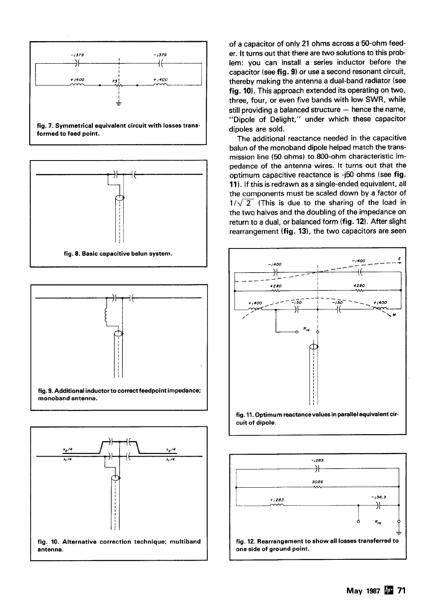







of a capacitor of only 21 ohms across a 50-ohm feeder. It turns out that there are two solutions to this problem: you can install a series inductor before the capacitor (see fig. **9)** or use a second resonant circuit, thereby making the antenna a dual-band radiator (see fig. **10).** This approach extended its operating on two, three, four, or even five bands with low SWR, while still providing a balanced structure  $-$  hence the name, "Dipole of Delight," under which these capacitor dipoles are sold.

The additional reactance needed in the capacitive balun of the monoband dipole helped match the transmission line (50 ohms) to 800-ohm characteristic impedance of the antenna wires. It turns out that the optimum capacitive reactance is **-j50** ohms (see fig. **11).** If this is redrawn as a single-ended equivalent, all the components must be scaled down by a factor of  $1/\sqrt{2}$  (This is due to the sharing of the load in the two halves and the doubling of the impedance on return to a dual, or balanced form (fig. **12).** After slight rearrangement (fig. 13), the two capacitors are seen



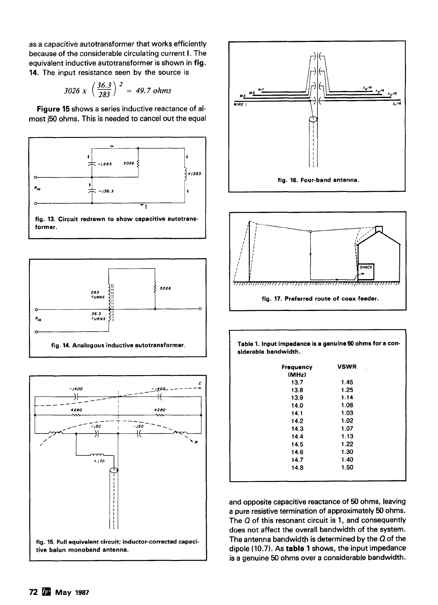as a capacitive autotransformer that works efficiently because of the considerable circulating current I. The equivalent inductive autotransformer is shown in fig. 14. The input resistance seen by the source is

$$
3026 \times \left(\frac{36.3}{283}\right)^2 = 49.7 \text{ ohms}
$$

Figure 15 shows a series inductive reactance of almost **j50** ohms. This is needed to cancel out the equal



**fig. 13. Circuit redrawn to show capacitive autotransformer.** 









| Table 1. Input impedance is a genuine 50 ohms for a con- |  |
|----------------------------------------------------------|--|
| siderable bandwidth.                                     |  |

| <b>Frequency</b><br>(MHz) | <b>VSWR</b> |
|---------------------------|-------------|
| 13.7                      | 1.45        |
| 13.8                      | 1.25        |
| 13.9                      | 1.14        |
| 14.0                      | 1.08        |
| 14.1                      | 1.03        |
| 14.2                      | 1.02        |
| 14.3                      | 1.07        |
| 14.4                      | 1.13        |
| 14.5                      | 1.22        |
| 14.6                      | 1.30        |
| 14.7                      | 1.40        |
| 14.8                      | 1.50        |
|                           |             |

and opposite capacitive reactance of **50** ohms, leaving a pure resistive termination of approximately 50 ohms. The **Q** of this resonant circuit is 1, and consequently does not affect the overall bandwidth of the system. The antenna bandwidth is determined by the **Q** of the dipole (10.7). As table 1 shows, the input impedance is a genuine **50** ohms over a considerable bandwidth.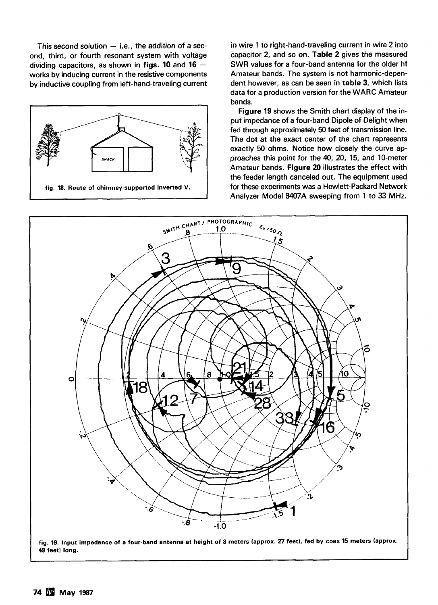ond, third, or fourth resonant system with voltage capacitor 2, and so on. Table **2** gives the measured dividing capacitors, as shown in **figs. 10** and **<sup>16</sup>**- SWR values for a four-band antenna for the older hf works by inducing current in the resistive components and a Amateur bands. The system is not harmonic-depen-<br>hy inductive coupling from left-hand-traveling current dent however, as can be seen in **table 3**, which lists by inductive coupling from left-hand-traveling current



This second solution  $-$  i.e., the addition of a sec-<br>
in wire 1 to right-hand-traveling current in wire 2 into<br>
in wire 1 to right-hand-traveling current in wire 2 into<br>
capacitor 2, and so on. Table 2 gives the measured data for a production version for the WARC Amateur bands.

> **Figure 19** shows the Smith chart display of the input impedance of a four-band Dipole of Delight when fed through approximately 50 feet of transmission line. The dot at the exact center of the chart represents exactly 50 ohms. Notice how closely the curve approaches this point for the 40, 20, 15, and 10-meter Amateur bands. **Figure 20** illustrates the effect with the feeder length canceled out. The equipment used for these experiments was a Hewlett-Packard Network Analyzer Model 8407A sweeping from 1 to 33 MHz.



**fig. 19. Input impedance of a four-band antenna at height of 8 meters (approx. 27 feet), fed by coax 15 meters (approx.**  49 feet) long.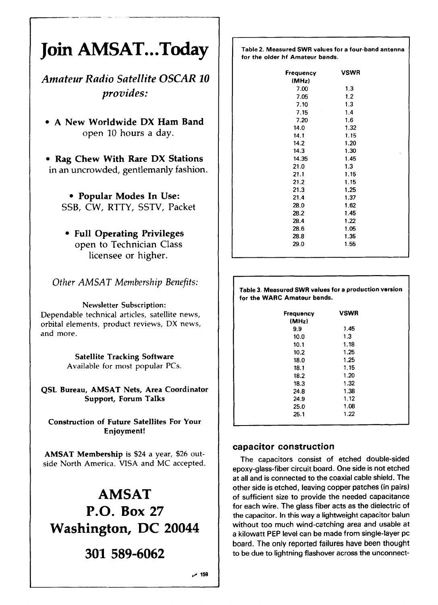## **Join AMSAT.. .Today**

*Amateur Radio Satellite OSCAR 10 provides:* 

**A New Worldwide DX Ham Band open 10** hours a day.

**Rag Chew With Rare DX Stations**  in an uncrowded, gentlemanly fashion.

**Popular Modes In Use:**  SSB, CW, RTTY, SSTV, Packet

**Full Operating Privileges** 

open to Technician Class licensee or higher.

*Other AMSAT Membership Benefits:* 

**Newsletter Subscription:** 

Dependable technical articles, satellite news, orbital elements, product reviews, DX news, and more.

> **Satellite Tracking Software**  Available for most popular PCs.

**QSL Bureau, AMSAT Nets, Area Coordinator Support, Forum Talks** 

**Construction of Future Satellites For Your Enjoyment!** 

**AMSAT Membership** is **\$24 a** year, \$26 outside North America. VISA and MC accepted.

## **AMSAT P.O. Box 27 Washington, DC 20044**

### 301 589-6062

 $~159$ 

**Table 2. Measured SWR values for a four-band antenna for the older hf Amateur bands.** 

| <b>Frequency</b> | <b>VSWR</b> |    |
|------------------|-------------|----|
| (MHz)            |             |    |
| 7.00             | 1.3         |    |
| 7.05             | 1.2         |    |
| 7.10             | 1.3         |    |
| 7.15             | 1.4         |    |
| 7.20             | 1.6         |    |
| 14.0             | 1.32        |    |
| 14.1             | 1.15        |    |
| 14.2             | 1.20        |    |
| 14.3             | 1.30        | k. |
| 14.35            | 1.45        |    |
| 21.0             | 1.3         |    |
| 21.1             | 1.15        |    |
| 21.2             | 1.15        |    |
| 21.3             | 1.25        |    |
| 21.4             | 1.37        |    |
| 28.0             | 1.62        |    |
| 28.2             | 1.45        |    |
| 28.4             | 1.22        |    |
| 28.6             | 1.05        |    |
| 28.8             | 1.35        |    |
| 29.0             | 1.55        |    |
|                  |             |    |

**Table 3. Measured SWR values for a production version for the WARC Amateur bands.** 

| Frequency<br>(MHz) | <b>VSWR</b> |  |
|--------------------|-------------|--|
| 9.9                | 1.45        |  |
| 10.0               | 1.3         |  |
| 10.1               | 1.18        |  |
| 10.2               | 1.25        |  |
| 18.0               | 1.25        |  |
| 18.1               | 1.15        |  |
| 18.2               | 1.20        |  |
| 18.3               | 1.32        |  |
| 24.8               | 1.38        |  |
| 24.9               | 1.12        |  |
| 25.0               | 1.08        |  |
| 25.1               | 1.22        |  |

#### **capacitor construction**

The capacitors consist of etched double-sided epoxy-glass-fiber circuit board. One side is not etched at all and is connected to the coaxial cable shield. The other side is etched, leaving copper patches (in pairs) **of** sufficient size to provide the needed capacitance for each wire. The glass fiber acts as the dielectric of the capacitor. In this way a lightweight capacitor balun without too much wind-catching area and usable at a kilowatt PEP level can be made from single-layer pc board. The only reported failures have been thought to be due to lightning flashover across the unconnect-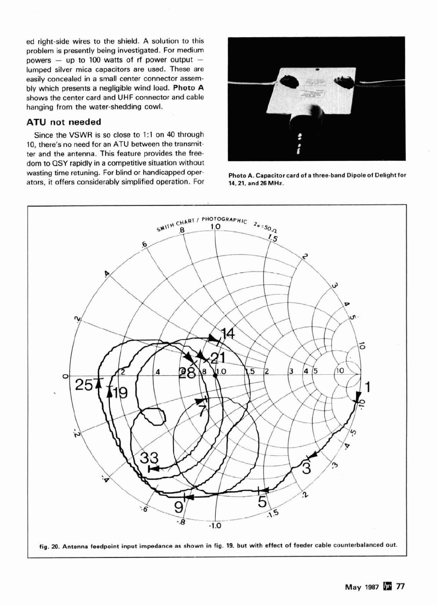ed right-side wires to the shield. A solution to this problem is presently being investigated. For medium powers  $-$  up to 100 watts of rf power output  $$ lumped silver mica capacitors are used. These are easily concealed in a small center connector assem-Shows the center card and UHF connector and cable<br>hanging from the water-shedding cowl.

#### ATU not needed

Since the VSWR is so close to 1:1 on 40 through 10, there's no need for an ATU between the transmitter and the antenna. This feature provides the freedom to QSY rapidly in a competitive situation without wasting time retuning. For blind or handicapped oper-<br>ators, it offers considerably simplified operation. For **14, 21, and 26 MHz**. ators, it offers considerably simplified operation. For